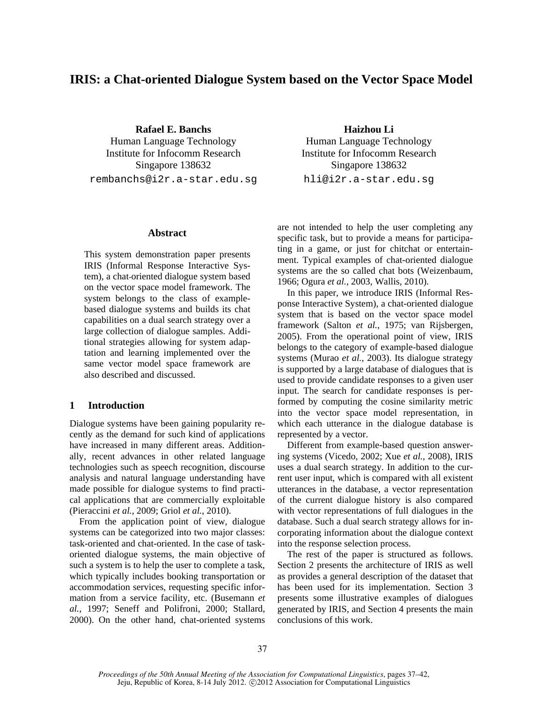# **IRIS: a Chat-oriented Dialogue System based on the Vector Space Model**

**Rafael E. Banchs Haizhou Li** Human Language Technology Human Language Technology Institute for Infocomm Research Institute for Infocomm Research Singapore 138632 Singapore 138632 rembanchs@i2r.a-star.edu.sg hli@i2r.a-star.edu.sg

#### **Abstract**

This system demonstration paper presents IRIS (Informal Response Interactive System), a chat-oriented dialogue system based on the vector space model framework. The system belongs to the class of examplebased dialogue systems and builds its chat capabilities on a dual search strategy over a large collection of dialogue samples. Additional strategies allowing for system adaptation and learning implemented over the same vector model space framework are also described and discussed.

## **1 Introduction**

Dialogue systems have been gaining popularity recently as the demand for such kind of applications have increased in many different areas. Additionally, recent advances in other related language technologies such as speech recognition, discourse analysis and natural language understanding have made possible for dialogue systems to find practical applications that are commercially exploitable (Pieraccini *et al.*, 2009; Griol *et al.*, 2010).

From the application point of view, dialogue systems can be categorized into two major classes: task-oriented and chat-oriented. In the case of taskoriented dialogue systems, the main objective of such a system is to help the user to complete a task, which typically includes booking transportation or accommodation services, requesting specific information from a service facility, etc. (Busemann *et al.*, 1997; Seneff and Polifroni, 2000; Stallard, 2000). On the other hand, chat-oriented systems

are not intended to help the user completing any specific task, but to provide a means for participating in a game, or just for chitchat or entertainment. Typical examples of chat-oriented dialogue systems are the so called chat bots (Weizenbaum, 1966; Ogura *et al.*, 2003, Wallis, 2010).

In this paper, we introduce IRIS (Informal Response Interactive System), a chat-oriented dialogue system that is based on the vector space model framework (Salton *et al.*, 1975; van Rijsbergen, 2005). From the operational point of view, IRIS belongs to the category of example-based dialogue systems (Murao *et al.*, 2003). Its dialogue strategy is supported by a large database of dialogues that is used to provide candidate responses to a given user input. The search for candidate responses is performed by computing the cosine similarity metric into the vector space model representation, in which each utterance in the dialogue database is represented by a vector.

Different from example-based question answering systems (Vicedo, 2002; Xue *et al.*, 2008), IRIS uses a dual search strategy. In addition to the current user input, which is compared with all existent utterances in the database, a vector representation of the current dialogue history is also compared with vector representations of full dialogues in the database. Such a dual search strategy allows for incorporating information about the dialogue context into the response selection process.

The rest of the paper is structured as follows. Section 2 presents the architecture of IRIS as well as provides a general description of the dataset that has been used for its implementation. Section 3 presents some illustrative examples of dialogues generated by IRIS, and Section 4 presents the main conclusions of this work.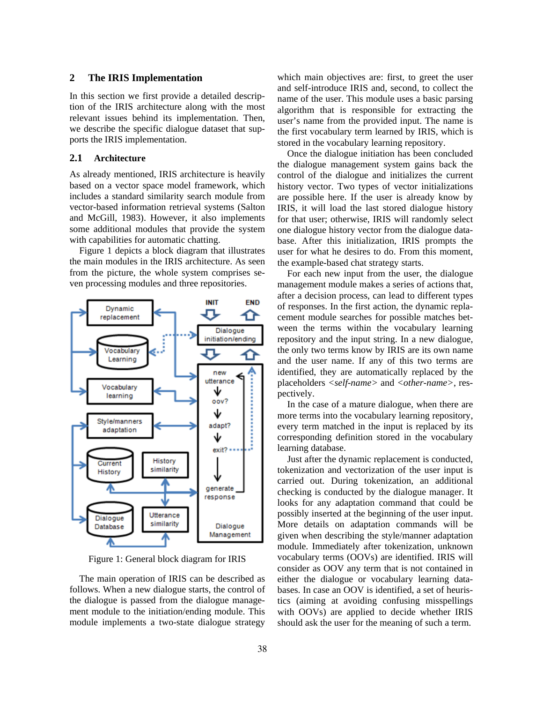# **2 The IRIS Implementation**

In this section we first provide a detailed description of the IRIS architecture along with the most relevant issues behind its implementation. Then, we describe the specific dialogue dataset that supports the IRIS implementation.

## **2.1 Architecture**

As already mentioned, IRIS architecture is heavily based on a vector space model framework, which includes a standard similarity search module from vector-based information retrieval systems (Salton and McGill, 1983). However, it also implements some additional modules that provide the system with capabilities for automatic chatting.

Figure 1 depicts a block diagram that illustrates the main modules in the IRIS architecture. As seen from the picture, the whole system comprises seven processing modules and three repositories.



Figure 1: General block diagram for IRIS

The main operation of IRIS can be described as follows. When a new dialogue starts, the control of the dialogue is passed from the dialogue management module to the initiation/ending module. This module implements a two-state dialogue strategy

which main objectives are: first, to greet the user and self-introduce IRIS and, second, to collect the name of the user. This module uses a basic parsing algorithm that is responsible for extracting the user's name from the provided input. The name is the first vocabulary term learned by IRIS, which is stored in the vocabulary learning repository.

Once the dialogue initiation has been concluded the dialogue management system gains back the control of the dialogue and initializes the current history vector. Two types of vector initializations are possible here. If the user is already know by IRIS, it will load the last stored dialogue history for that user; otherwise, IRIS will randomly select one dialogue history vector from the dialogue database. After this initialization, IRIS prompts the user for what he desires to do. From this moment, the example-based chat strategy starts.

For each new input from the user, the dialogue management module makes a series of actions that, after a decision process, can lead to different types of responses. In the first action, the dynamic replacement module searches for possible matches between the terms within the vocabulary learning repository and the input string. In a new dialogue, the only two terms know by IRIS are its own name and the user name. If any of this two terms are identified, they are automatically replaced by the placeholders *<self-name>* and *<other-name>*, respectively.

In the case of a mature dialogue, when there are more terms into the vocabulary learning repository, every term matched in the input is replaced by its corresponding definition stored in the vocabulary learning database.

Just after the dynamic replacement is conducted, tokenization and vectorization of the user input is carried out. During tokenization, an additional checking is conducted by the dialogue manager. It looks for any adaptation command that could be possibly inserted at the beginning of the user input. More details on adaptation commands will be given when describing the style/manner adaptation module. Immediately after tokenization, unknown vocabulary terms (OOVs) are identified. IRIS will consider as OOV any term that is not contained in either the dialogue or vocabulary learning databases. In case an OOV is identified, a set of heuristics (aiming at avoiding confusing misspellings with OOVs) are applied to decide whether IRIS should ask the user for the meaning of such a term.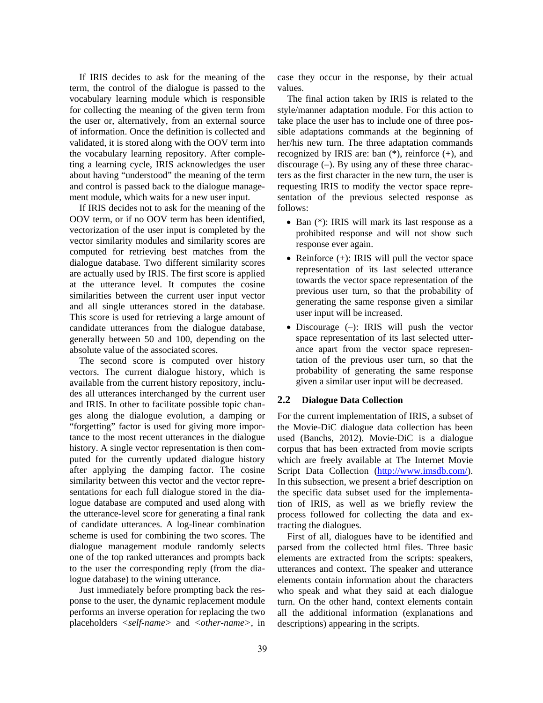If IRIS decides to ask for the meaning of the term, the control of the dialogue is passed to the vocabulary learning module which is responsible for collecting the meaning of the given term from the user or, alternatively, from an external source of information. Once the definition is collected and validated, it is stored along with the OOV term into the vocabulary learning repository. After completing a learning cycle, IRIS acknowledges the user about having "understood" the meaning of the term and control is passed back to the dialogue management module, which waits for a new user input.

If IRIS decides not to ask for the meaning of the OOV term, or if no OOV term has been identified, vectorization of the user input is completed by the vector similarity modules and similarity scores are computed for retrieving best matches from the dialogue database. Two different similarity scores are actually used by IRIS. The first score is applied at the utterance level. It computes the cosine similarities between the current user input vector and all single utterances stored in the database. This score is used for retrieving a large amount of candidate utterances from the dialogue database, generally between 50 and 100, depending on the absolute value of the associated scores.

The second score is computed over history vectors. The current dialogue history, which is available from the current history repository, includes all utterances interchanged by the current user and IRIS. In other to facilitate possible topic changes along the dialogue evolution, a damping or "forgetting" factor is used for giving more importance to the most recent utterances in the dialogue history. A single vector representation is then computed for the currently updated dialogue history after applying the damping factor. The cosine similarity between this vector and the vector representations for each full dialogue stored in the dialogue database are computed and used along with the utterance-level score for generating a final rank of candidate utterances. A log-linear combination scheme is used for combining the two scores. The dialogue management module randomly selects one of the top ranked utterances and prompts back to the user the corresponding reply (from the dialogue database) to the wining utterance.

Just immediately before prompting back the response to the user, the dynamic replacement module performs an inverse operation for replacing the two placeholders *<self-name>* and *<other-name>*, in case they occur in the response, by their actual values.

The final action taken by IRIS is related to the style/manner adaptation module. For this action to take place the user has to include one of three possible adaptations commands at the beginning of her/his new turn. The three adaptation commands recognized by IRIS are: ban (\*), reinforce (+), and discourage (–). By using any of these three characters as the first character in the new turn, the user is requesting IRIS to modify the vector space representation of the previous selected response as follows:

- Ban (\*): IRIS will mark its last response as a prohibited response and will not show such response ever again.
- Reinforce  $(+)$ : IRIS will pull the vector space representation of its last selected utterance towards the vector space representation of the previous user turn, so that the probability of generating the same response given a similar user input will be increased.
- Discourage (–): IRIS will push the vector space representation of its last selected utterance apart from the vector space representation of the previous user turn, so that the probability of generating the same response given a similar user input will be decreased.

# **2.2 Dialogue Data Collection**

For the current implementation of IRIS, a subset of the Movie-DiC dialogue data collection has been used (Banchs, 2012). Movie-DiC is a dialogue corpus that has been extracted from movie scripts which are freely available at The Internet Movie Script Data Collection (http://www.imsdb.com/). In this subsection, we present a brief description on the specific data subset used for the implementation of IRIS, as well as we briefly review the process followed for collecting the data and extracting the dialogues.

First of all, dialogues have to be identified and parsed from the collected html files. Three basic elements are extracted from the scripts: speakers, utterances and context. The speaker and utterance elements contain information about the characters who speak and what they said at each dialogue turn. On the other hand, context elements contain all the additional information (explanations and descriptions) appearing in the scripts.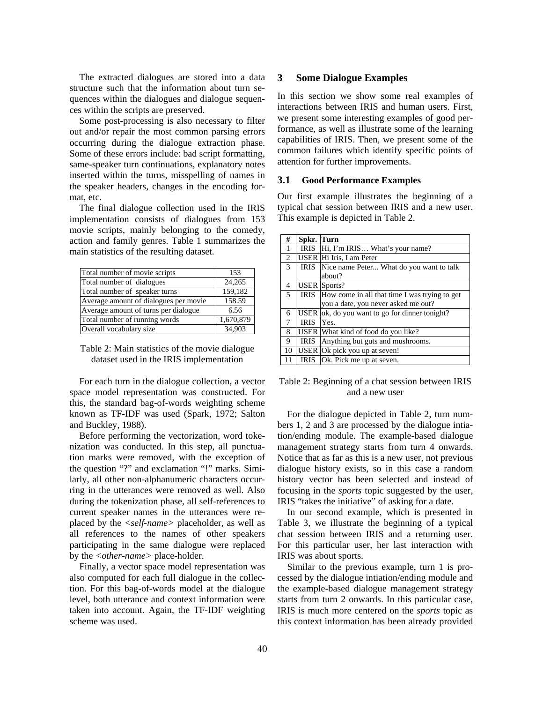The extracted dialogues are stored into a data structure such that the information about turn sequences within the dialogues and dialogue sequences within the scripts are preserved.

Some post-processing is also necessary to filter out and/or repair the most common parsing errors occurring during the dialogue extraction phase. Some of these errors include: bad script formatting, same-speaker turn continuations, explanatory notes inserted within the turns, misspelling of names in the speaker headers, changes in the encoding format, etc.

The final dialogue collection used in the IRIS implementation consists of dialogues from 153 movie scripts, mainly belonging to the comedy, action and family genres. Table 1 summarizes the main statistics of the resulting dataset.

| Total number of movie scripts         | 153       |
|---------------------------------------|-----------|
| Total number of dialogues             | 24,265    |
| Total number of speaker turns         | 159,182   |
| Average amount of dialogues per movie | 158.59    |
| Average amount of turns per dialogue  | 6.56      |
| Total number of running words         | 1,670,879 |
| Overall vocabulary size               | 34,903    |

| Table 2: Main statistics of the movie dialogue |
|------------------------------------------------|
| dataset used in the IRIS implementation        |

For each turn in the dialogue collection, a vector space model representation was constructed. For this, the standard bag-of-words weighting scheme known as TF-IDF was used (Spark, 1972; Salton and Buckley, 1988).

Before performing the vectorization, word tokenization was conducted. In this step, all punctuation marks were removed, with the exception of the question "?" and exclamation "!" marks. Similarly, all other non-alphanumeric characters occurring in the utterances were removed as well. Also during the tokenization phase, all self-references to current speaker names in the utterances were replaced by the *<self-name>* placeholder, as well as all references to the names of other speakers participating in the same dialogue were replaced by the *<other-name>* place-holder.

Finally, a vector space model representation was also computed for each full dialogue in the collection. For this bag-of-words model at the dialogue level, both utterance and context information were taken into account. Again, the TF-IDF weighting scheme was used.

## **3 Some Dialogue Examples**

In this section we show some real examples of interactions between IRIS and human users. First, we present some interesting examples of good performance, as well as illustrate some of the learning capabilities of IRIS. Then, we present some of the common failures which identify specific points of attention for further improvements.

## **3.1 Good Performance Examples**

Our first example illustrates the beginning of a typical chat session between IRIS and a new user. This example is depicted in Table 2.

| #              | Spkr. Turn  |                                                |
|----------------|-------------|------------------------------------------------|
| 1              |             | IRIS  Hi, I'm IRIS What's your name?           |
| 2              |             | USER Hi Iris, I am Peter                       |
| 3              | <b>IRIS</b> | Nice name Peter What do you want to talk       |
|                |             | about?                                         |
| 4              |             | <b>USER</b> Sports?                            |
| $\overline{5}$ | <b>IRIS</b> | How come in all that time I was trying to get  |
|                |             | you a date, you never asked me out?            |
| 6              |             | USER ok, do you want to go for dinner tonight? |
| $\tau$         | <b>IRIS</b> | Yes.                                           |
| 8              |             | USER What kind of food do you like?            |
| 9              | <b>IRIS</b> | Anything but guts and mushrooms.               |
| 10             |             | USER Ok pick you up at seven!                  |
|                |             | IRIS   Ok. Pick me up at seven.                |

## Table 2: Beginning of a chat session between IRIS and a new user

For the dialogue depicted in Table 2, turn numbers 1, 2 and 3 are processed by the dialogue intiation/ending module. The example-based dialogue management strategy starts from turn 4 onwards. Notice that as far as this is a new user, not previous dialogue history exists, so in this case a random history vector has been selected and instead of focusing in the *sports* topic suggested by the user, IRIS "takes the initiative" of asking for a date.

In our second example, which is presented in Table 3, we illustrate the beginning of a typical chat session between IRIS and a returning user. For this particular user, her last interaction with IRIS was about sports.

Similar to the previous example, turn 1 is processed by the dialogue intiation/ending module and the example-based dialogue management strategy starts from turn 2 onwards. In this particular case, IRIS is much more centered on the *sports* topic as this context information has been already provided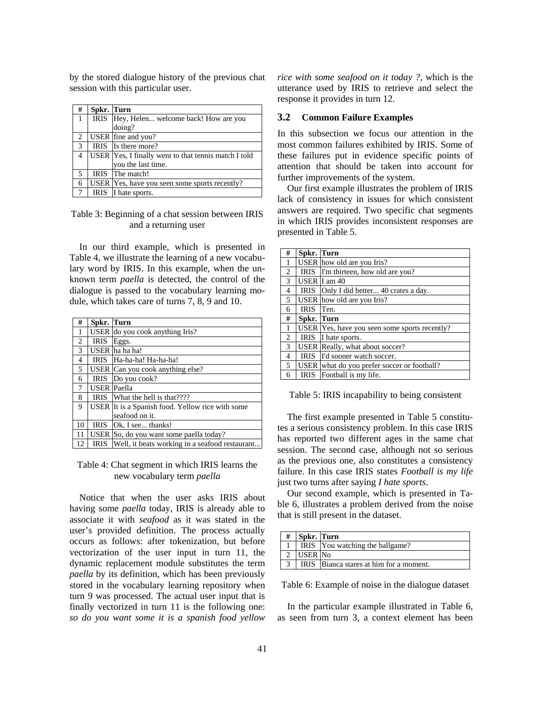by the stored dialogue history of the previous chat session with this particular user.

| # | Spkr. Turn  |                                                      |
|---|-------------|------------------------------------------------------|
| 1 |             | IRIS Hey, Helen welcome back! How are you            |
|   |             | doing?                                               |
| 2 |             | USER fine and you?                                   |
| 3 |             | IRIS Is there more?                                  |
| 4 |             | USER Yes, I finally went to that tennis match I told |
|   |             | you the last time.                                   |
| 5 |             | IRIS The match!                                      |
| 6 |             | USER Yes, have you seen some sports recently?        |
|   | <b>IRIS</b> | I hate sports.                                       |

# Table 3: Beginning of a chat session between IRIS and a returning user

In our third example, which is presented in Table 4, we illustrate the learning of a new vocabulary word by IRIS. In this example, when the unknown term *paella* is detected, the control of the dialogue is passed to the vocabulary learning module, which takes care of turns 7, 8, 9 and 10.

| #  | Spkr. Turn         |                                                  |
|----|--------------------|--------------------------------------------------|
| 1  |                    | USER do you cook anything Iris?                  |
| 2  | <b>IRIS</b>        | Eggs.                                            |
| 3  |                    | USER ha ha ha!                                   |
| 4  | <b>IRIS</b>        | Ha-ha-ha! Ha-ha-ha!                              |
| 5  |                    | USER Can you cook anything else?                 |
| 6  | <b>IRIS</b>        | Do you cook?                                     |
| 7  | <b>USER</b> Paella |                                                  |
| 8  | <b>IRIS</b>        | What the hell is that????                        |
| 9  |                    | USER It is a Spanish food. Yellow rice with some |
|    |                    | seafood on it.                                   |
| 10 | <b>IRIS</b>        | Ok, I see thanks!                                |
| 11 |                    | USER So, do you want some paella today?          |
| 12 | IRIS               | Well, it beats working in a seafood restaurant   |

## Table 4: Chat segment in which IRIS learns the new vocabulary term *paella*

Notice that when the user asks IRIS about having some *paella* today, IRIS is already able to associate it with *seafood* as it was stated in the user's provided definition. The process actually occurs as follows: after tokenization, but before vectorization of the user input in turn 11, the dynamic replacement module substitutes the term *paella* by its definition, which has been previously stored in the vocabulary learning repository when turn 9 was processed. The actual user input that is finally vectorized in turn 11 is the following one: *so do you want some it is a spanish food yellow*  *rice with some seafood on it today ?*, which is the utterance used by IRIS to retrieve and select the response it provides in turn 12.

#### **3.2 Common Failure Examples**

In this subsection we focus our attention in the most common failures exhibited by IRIS. Some of these failures put in evidence specific points of attention that should be taken into account for further improvements of the system.

Our first example illustrates the problem of IRIS lack of consistency in issues for which consistent answers are required. Two specific chat segments in which IRIS provides inconsistent responses are presented in Table 5.

| #              | Spkr. Turn  |                                               |
|----------------|-------------|-----------------------------------------------|
| 1              |             | USER how old are you Iris?                    |
| 2              |             | IRIS I'm thirteen, how old are you?           |
| 3              |             | USER I am 40                                  |
| 4              | IRIS        | Only I did better 40 crates a day.            |
| 5              |             | USER how old are you Iris?                    |
| 6              | <b>IRIS</b> | Ten.                                          |
| #              | Spkr. Turn  |                                               |
| 1              |             | USER Yes, have you seen some sports recently? |
| $\overline{2}$ | <b>IRIS</b> | I hate sports.                                |
| 3              |             | USER Really, what about soccer?               |
| $\overline{4}$ |             | IRIS I'd sooner watch soccer.                 |
| 5              |             | USER what do you prefer soccer or football?   |
| 6              |             | IRIS Football is my life.                     |

Table 5: IRIS incapability to being consistent

The first example presented in Table 5 constitutes a serious consistency problem. In this case IRIS has reported two different ages in the same chat session. The second case, although not so serious as the previous one, also constitutes a consistency failure. In this case IRIS states *Football is my life* just two turns after saying *I hate sports*.

Our second example, which is presented in Table 6, illustrates a problem derived from the noise that is still present in the dataset.

| <b>Spkr.</b> Turn |                                         |
|-------------------|-----------------------------------------|
|                   | IRIS You watching the ballgame?         |
| USER No           |                                         |
|                   | IRIS Bianca stares at him for a moment. |

Table 6: Example of noise in the dialogue dataset

In the particular example illustrated in Table 6, as seen from turn 3, a context element has been